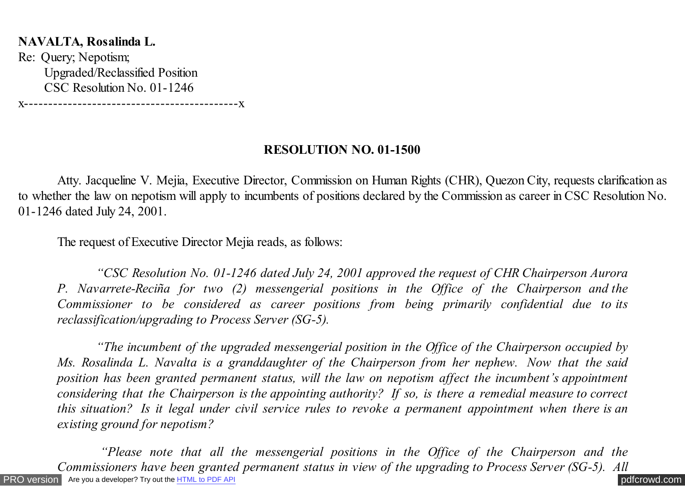## **NAVALTA, Rosalinda L.**

Re: Query; Nepotism; Upgraded/Reclassified Position CSC Resolution No. 01-1246

x--------------------------------------------x

## **RESOLUTION NO. 01-1500**

 Atty. Jacqueline V. Mejia, Executive Director, Commission on Human Rights (CHR), Quezon City, requests clarification as to whether the law on nepotism will apply to incumbents of positions declared by the Commission as career in CSC Resolution No. 01-1246 dated July 24, 2001.

The request of Executive Director Mejia reads, as follows:

 *"CSC Resolution No. 01-1246 dated July 24, 2001 approved the request of CHR Chairperson Aurora P. Navarrete-Reciña for two (2) messengerial positions in the Office of the Chairperson and the Commissioner to be considered as career positions from being primarily confidential due to its reclassification/upgrading to Process Server (SG-5).*

 *"The incumbent of the upgraded messengerial position in the Office of the Chairperson occupied by Ms. Rosalinda L. Navalta is a granddaughter of the Chairperson from her nephew. Now that the said position has been granted permanent status, will the law on nepotism affect the incumbent's appointment considering that the Chairperson is the appointing authority? If so, is there a remedial measure to correct this situation? Is it legal under civil service rules to revoke a permanent appointment when there is an existing ground for nepotism?*

[PRO version](http://pdfcrowd.com/customize/) Are you a developer? Try out the **HTML to PDF API [pdfcrowd.com](http://pdfcrowd.com)**  *"Please note that all the messengerial positions in the Office of the Chairperson and the Commissioners have been granted permanent status in view of the upgrading to Process Server (SG-5). All*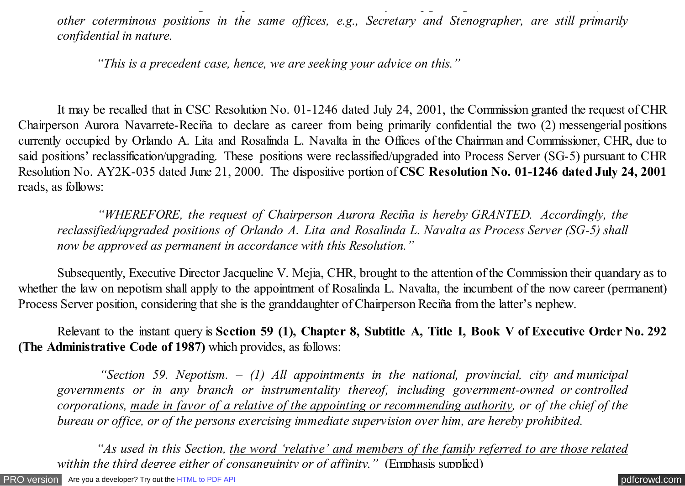*other coterminous positions in the same offices, e.g., Secretary and Stenographer, are still primarily confidential in nature.*

*Commissioners have been granted permanent status in view of the upgrading to Process Server (SG-5). All*

 *"This is a precedent case, hence, we are seeking your advice on this."*

 It may be recalled that in CSC Resolution No. 01-1246 dated July 24, 2001, the Commission granted the request of CHR Chairperson Aurora Navarrete-Reciña to declare as career from being primarily confidential the two (2) messengerial positions currently occupied by Orlando A. Lita and Rosalinda L. Navalta in the Offices of the Chairman and Commissioner, CHR, due to said positions' reclassification/upgrading. These positions were reclassified/upgraded into Process Server (SG-5) pursuant to CHR Resolution No. AY2K-035 dated June 21, 2000. The dispositive portion of **CSC Resolution No. 01-1246 dated July 24, 2001** reads, as follows:

 *"WHEREFORE, the request of Chairperson Aurora Reciña is hereby GRANTED. Accordingly, the reclassified/upgraded positions of Orlando A. Lita and Rosalinda L. Navalta as Process Server (SG-5) shall now be approved as permanent in accordance with this Resolution."*

Subsequently, Executive Director Jacqueline V. Mejia, CHR, brought to the attention of the Commission their quandary as to whether the law on nepotism shall apply to the appointment of Rosalinda L. Navalta, the incumbent of the now career (permanent) Process Server position, considering that she is the granddaughter of Chairperson Reciña from the latter's nephew.

Relevant to the instant query is **Section 59 (1), Chapter 8, Subtitle A, Title I, Book V of Executive Order No. 292 (The Administrative Code of 1987)** which provides, as follows:

 *"Section 59. Nepotism. – (1) All appointments in the national, provincial, city and municipal governments or in any branch or instrumentality thereof, including government-owned or controlled corporations, made in favor of a relative of the appointing or recommending authority, or of the chief of the bureau or office, or of the persons exercising immediate supervision over him, are hereby prohibited.*

 *"As used in this Section, the word 'relative' and members of the family referred to are those related within the third degree either of consanguinity or of affinity.*" (Emphasis supplied)

[PRO version](http://pdfcrowd.com/customize/) Are you a developer? Try out th[e HTML to PDF API](http://pdfcrowd.com/html-to-pdf-api/?ref=pdf) [pdfcrowd.com](http://pdfcrowd.com)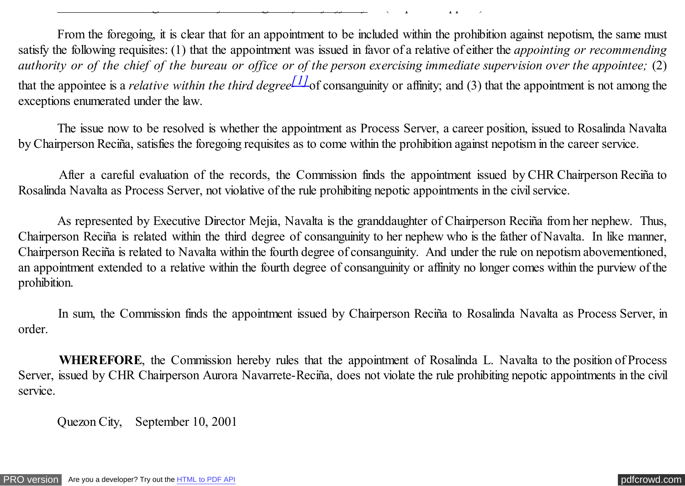<span id="page-2-0"></span>From the foregoing, it is clear that for an appointment to be included within the prohibition against nepotism, the same must satisfy the following requisites: (1) that the appointment was issued in favor of a relative of either the *appointing or recommending authority or of the chief of the bureau or office or of the person exercising immediate supervision over the appointee;* (2) that the appointee is a *relative within the third degree*  $\frac{11}{10}$  consanguinity or affinity; and (3) that the appointment is not among the exceptions enumerated under the law.

*within the third degree either of consanguinity or of affinity."* (Emphasis supplied)

 The issue now to be resolved is whether the appointment as Process Server, a career position, issued to Rosalinda Navalta by Chairperson Reciña, satisfies the foregoing requisites as to come within the prohibition against nepotism in the career service.

 After a careful evaluation of the records, the Commission finds the appointment issued by CHR Chairperson Reciña to Rosalinda Navalta as Process Server, not violative of the rule prohibiting nepotic appointments in the civil service.

 As represented by Executive Director Mejia, Navalta is the granddaughter of Chairperson Reciña from her nephew. Thus, Chairperson Reciña is related within the third degree of consanguinity to her nephew who is the father of Navalta. In like manner, Chairperson Reciña is related to Navalta within the fourth degree of consanguinity. And under the rule on nepotism abovementioned, an appointment extended to a relative within the fourth degree of consanguinity or affinity no longer comes within the purview of the prohibition.

 In sum, the Commission finds the appointment issued by Chairperson Reciña to Rosalinda Navalta as Process Server, in order.

 **WHEREFORE**, the Commission hereby rules that the appointment of Rosalinda L. Navalta to the position of Process Server, issued by CHR Chairperson Aurora Navarrete-Reciña, does not violate the rule prohibiting nepotic appointments in the civil service.

Quezon City, September 10, 2001